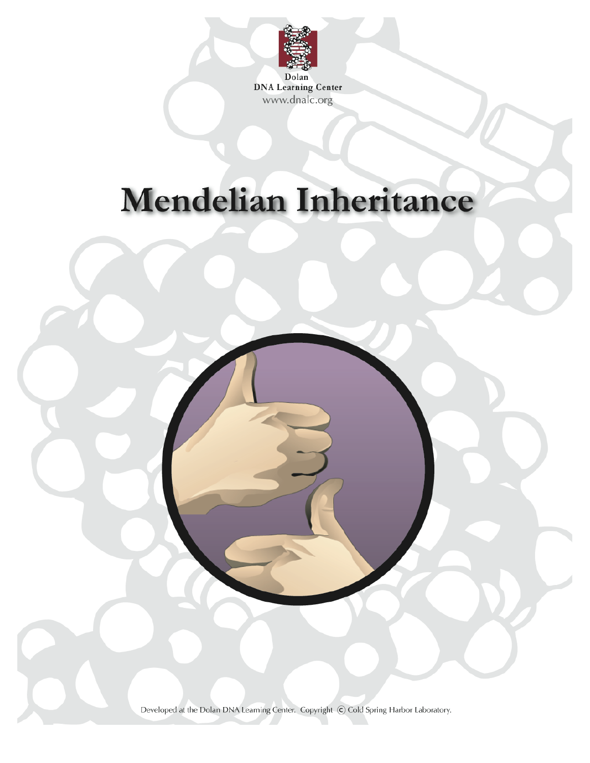

**DNA Learning Center** www.dnalc.org

# **Mendelian Inheritance**



Developed at the Dolan DNA Learning Center. Copyright C Cold Spring Harbor Laboratory.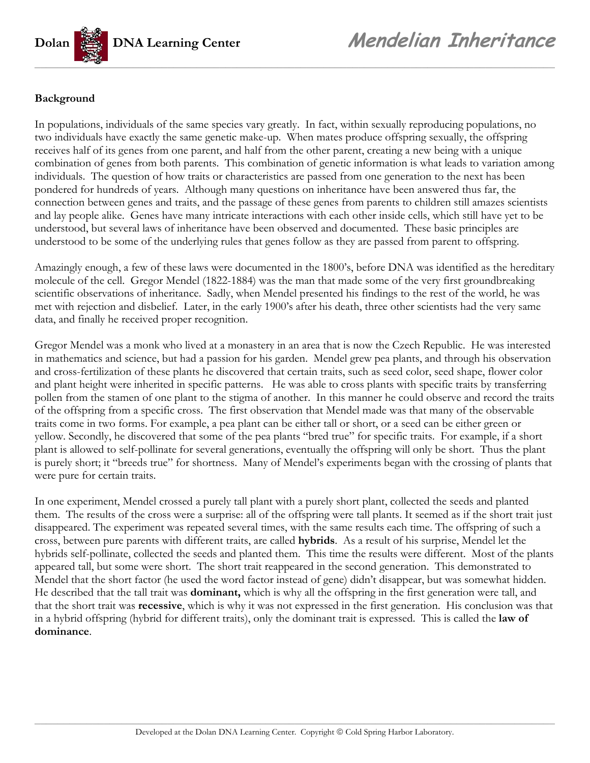

#### **Background**

In populations, individuals of the same species vary greatly. In fact, within sexually reproducing populations, no two individuals have exactly the same genetic make-up. When mates produce offspring sexually, the offspring receives half of its genes from one parent, and half from the other parent, creating a new being with a unique combination of genes from both parents. This combination of genetic information is what leads to variation among individuals. The question of how traits or characteristics are passed from one generation to the next has been pondered for hundreds of years. Although many questions on inheritance have been answered thus far, the connection between genes and traits, and the passage of these genes from parents to children still amazes scientists and lay people alike. Genes have many intricate interactions with each other inside cells, which still have yet to be understood, but several laws of inheritance have been observed and documented. These basic principles are understood to be some of the underlying rules that genes follow as they are passed from parent to offspring.

Amazingly enough, a few of these laws were documented in the 1800's, before DNA was identified as the hereditary molecule of the cell. Gregor Mendel (1822-1884) was the man that made some of the very first groundbreaking scientific observations of inheritance. Sadly, when Mendel presented his findings to the rest of the world, he was met with rejection and disbelief. Later, in the early 1900's after his death, three other scientists had the very same data, and finally he received proper recognition.

Gregor Mendel was a monk who lived at a monastery in an area that is now the Czech Republic. He was interested in mathematics and science, but had a passion for his garden. Mendel grew pea plants, and through his observation and cross-fertilization of these plants he discovered that certain traits, such as seed color, seed shape, flower color and plant height were inherited in specific patterns. He was able to cross plants with specific traits by transferring pollen from the stamen of one plant to the stigma of another. In this manner he could observe and record the traits of the offspring from a specific cross. The first observation that Mendel made was that many of the observable traits come in two forms. For example, a pea plant can be either tall or short, or a seed can be either green or yellow. Secondly, he discovered that some of the pea plants "bred true" for specific traits. For example, if a short plant is allowed to self-pollinate for several generations, eventually the offspring will only be short. Thus the plant is purely short; it "breeds true" for shortness. Many of Mendel's experiments began with the crossing of plants that were pure for certain traits.

In one experiment, Mendel crossed a purely tall plant with a purely short plant, collected the seeds and planted them. The results of the cross were a surprise: all of the offspring were tall plants. It seemed as if the short trait just disappeared. The experiment was repeated several times, with the same results each time. The offspring of such a cross, between pure parents with different traits, are called **hybrids**. As a result of his surprise, Mendel let the hybrids self-pollinate, collected the seeds and planted them. This time the results were different. Most of the plants appeared tall, but some were short. The short trait reappeared in the second generation. This demonstrated to Mendel that the short factor (he used the word factor instead of gene) didn't disappear, but was somewhat hidden. He described that the tall trait was **dominant,** which is why all the offspring in the first generation were tall, and that the short trait was **recessive**, which is why it was not expressed in the first generation. His conclusion was that in a hybrid offspring (hybrid for different traits), only the dominant trait is expressed. This is called the **law of dominance**.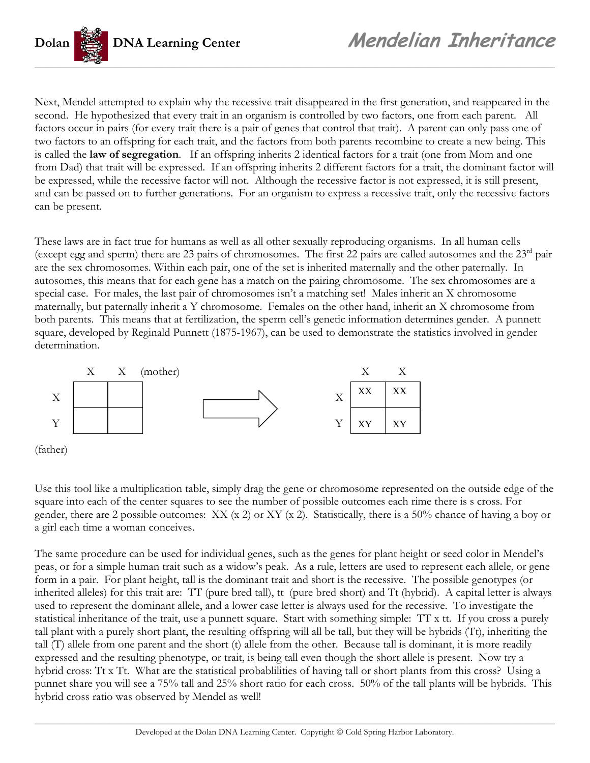

Next, Mendel attempted to explain why the recessive trait disappeared in the first generation, and reappeared in the second. He hypothesized that every trait in an organism is controlled by two factors, one from each parent. All factors occur in pairs (for every trait there is a pair of genes that control that trait). A parent can only pass one of two factors to an offspring for each trait, and the factors from both parents recombine to create a new being. This is called the **law of segregation**. If an offspring inherits 2 identical factors for a trait (one from Mom and one from Dad) that trait will be expressed. If an offspring inherits 2 different factors for a trait, the dominant factor will be expressed, while the recessive factor will not. Although the recessive factor is not expressed, it is still present, and can be passed on to further generations. For an organism to express a recessive trait, only the recessive factors can be present.

These laws are in fact true for humans as well as all other sexually reproducing organisms. In all human cells (except egg and sperm) there are 23 pairs of chromosomes. The first 22 pairs are called autosomes and the  $23<sup>rd</sup>$  pair are the sex chromosomes. Within each pair, one of the set is inherited maternally and the other paternally. In autosomes, this means that for each gene has a match on the pairing chromosome. The sex chromosomes are a special case. For males, the last pair of chromosomes isn't a matching set! Males inherit an X chromosome maternally, but paternally inherit a Y chromosome. Females on the other hand, inherit an X chromosome from both parents. This means that at fertilization, the sperm cell's genetic information determines gender. A punnett square, developed by Reginald Punnett (1875-1967), can be used to demonstrate the statistics involved in gender determination.



Use this tool like a multiplication table, simply drag the gene or chromosome represented on the outside edge of the square into each of the center squares to see the number of possible outcomes each rime there is s cross. For gender, there are 2 possible outcomes: XX (x 2) or XY (x 2). Statistically, there is a 50% chance of having a boy or a girl each time a woman conceives.

The same procedure can be used for individual genes, such as the genes for plant height or seed color in Mendel's peas, or for a simple human trait such as a widow's peak. As a rule, letters are used to represent each allele, or gene form in a pair. For plant height, tall is the dominant trait and short is the recessive. The possible genotypes (or inherited alleles) for this trait are: TT (pure bred tall), tt (pure bred short) and Tt (hybrid). A capital letter is always used to represent the dominant allele, and a lower case letter is always used for the recessive. To investigate the statistical inheritance of the trait, use a punnett square. Start with something simple: TT x tt. If you cross a purely tall plant with a purely short plant, the resulting offspring will all be tall, but they will be hybrids (Tt), inheriting the tall (T) allele from one parent and the short (t) allele from the other. Because tall is dominant, it is more readily expressed and the resulting phenotype, or trait, is being tall even though the short allele is present. Now try a hybrid cross: Tt x Tt. What are the statistical probablilities of having tall or short plants from this cross? Using a punnet share you will see a 75% tall and 25% short ratio for each cross. 50% of the tall plants will be hybrids. This hybrid cross ratio was observed by Mendel as well!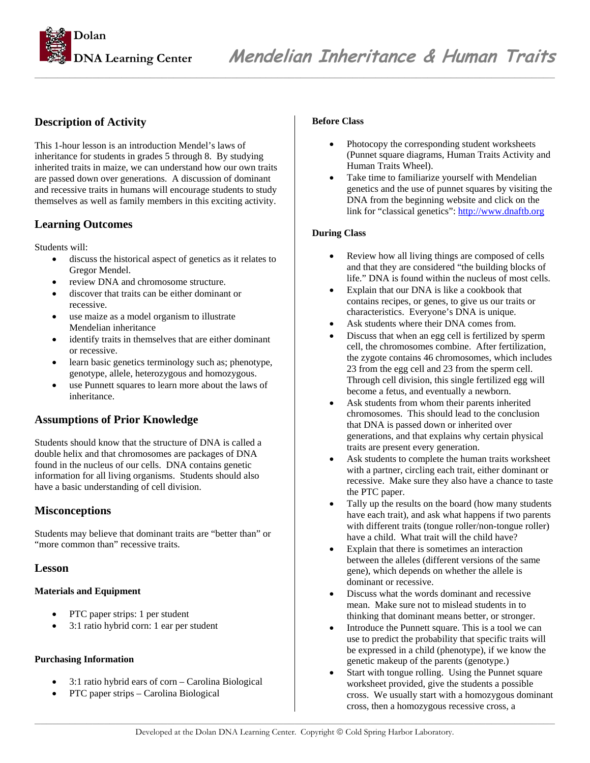

#### **Description of Activity**

This 1-hour lesson is an introduction Mendel's laws of inheritance for students in grades 5 through 8. By studying inherited traits in maize, we can understand how our own traits are passed down over generations. A discussion of dominant and recessive traits in humans will encourage students to study themselves as well as family members in this exciting activity.

#### **Learning Outcomes**

Students will:

- discuss the historical aspect of genetics as it relates to Gregor Mendel.
- review DNA and chromosome structure.
- discover that traits can be either dominant or recessive.
- use maize as a model organism to illustrate Mendelian inheritance
- identify traits in themselves that are either dominant or recessive.
- learn basic genetics terminology such as; phenotype, genotype, allele, heterozygous and homozygous.
- use Punnett squares to learn more about the laws of inheritance.

#### **Assumptions of Prior Knowledge**

Students should know that the structure of DNA is called a double helix and that chromosomes are packages of DNA found in the nucleus of our cells. DNA contains genetic information for all living organisms. Students should also have a basic understanding of cell division.

#### **Misconceptions**

Students may believe that dominant traits are "better than" or "more common than" recessive traits.

#### **Lesson**

#### **Materials and Equipment**

- PTC paper strips: 1 per student
- 3:1 ratio hybrid corn: 1 ear per student

#### **Purchasing Information**

- 3:1 ratio hybrid ears of corn Carolina Biological
- PTC paper strips Carolina Biological

#### **Before Class**

- Photocopy the corresponding student worksheets (Punnet square diagrams, Human Traits Activity and Human Traits Wheel).
- Take time to familiarize yourself with Mendelian genetics and the use of punnet squares by visiting the DNA from the beginning website and click on the link for "classical genetics": http://www.dnaftb.org

#### **During Class**

- Review how all living things are composed of cells and that they are considered "the building blocks of life." DNA is found within the nucleus of most cells.
- Explain that our DNA is like a cookbook that contains recipes, or genes, to give us our traits or characteristics. Everyone's DNA is unique.
- Ask students where their DNA comes from.
- Discuss that when an egg cell is fertilized by sperm cell, the chromosomes combine. After fertilization, the zygote contains 46 chromosomes, which includes 23 from the egg cell and 23 from the sperm cell. Through cell division, this single fertilized egg will become a fetus, and eventually a newborn.
- Ask students from whom their parents inherited chromosomes. This should lead to the conclusion that DNA is passed down or inherited over generations, and that explains why certain physical traits are present every generation.
- Ask students to complete the human traits worksheet with a partner, circling each trait, either dominant or recessive. Make sure they also have a chance to taste the PTC paper.
- Tally up the results on the board (how many students have each trait), and ask what happens if two parents with different traits (tongue roller/non-tongue roller) have a child. What trait will the child have?
- Explain that there is sometimes an interaction between the alleles (different versions of the same gene), which depends on whether the allele is dominant or recessive.
- Discuss what the words dominant and recessive mean. Make sure not to mislead students in to thinking that dominant means better, or stronger.
- Introduce the Punnett square. This is a tool we can use to predict the probability that specific traits will be expressed in a child (phenotype), if we know the genetic makeup of the parents (genotype.)
- Start with tongue rolling. Using the Punnet square worksheet provided, give the students a possible cross. We usually start with a homozygous dominant cross, then a homozygous recessive cross, a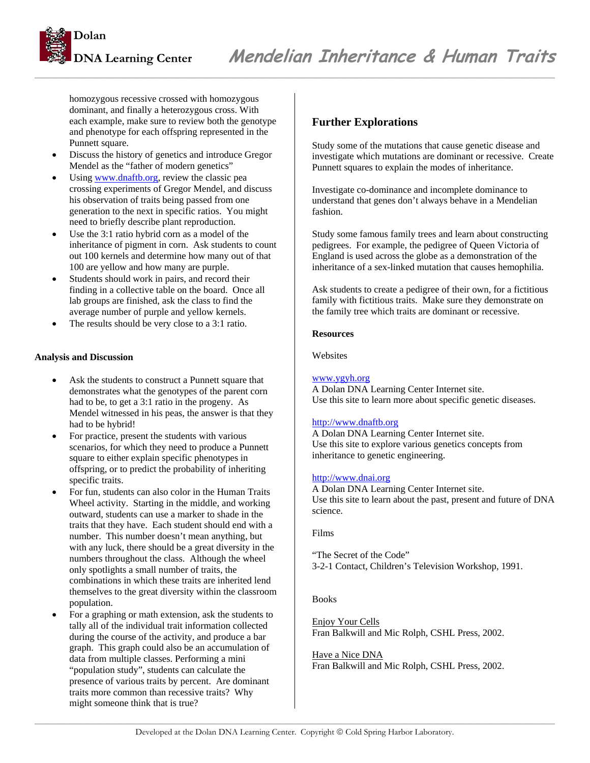

homozygous recessive crossed with homozygous dominant, and finally a heterozygous cross. With each example, make sure to review both the genotype and phenotype for each offspring represented in the Punnett square.

- Discuss the history of genetics and introduce Gregor Mendel as the "father of modern genetics"
- Using www.dnaftb.org, review the classic pea crossing experiments of Gregor Mendel, and discuss his observation of traits being passed from one generation to the next in specific ratios. You might need to briefly describe plant reproduction.
- Use the 3:1 ratio hybrid corn as a model of the inheritance of pigment in corn. Ask students to count out 100 kernels and determine how many out of that 100 are yellow and how many are purple.
- Students should work in pairs, and record their finding in a collective table on the board. Once all lab groups are finished, ask the class to find the average number of purple and yellow kernels.
- The results should be very close to a 3:1 ratio.

#### **Analysis and Discussion**

- Ask the students to construct a Punnett square that demonstrates what the genotypes of the parent corn had to be, to get a 3:1 ratio in the progeny. As Mendel witnessed in his peas, the answer is that they had to be hybrid!
- For practice, present the students with various scenarios, for which they need to produce a Punnett square to either explain specific phenotypes in offspring, or to predict the probability of inheriting specific traits.
- For fun, students can also color in the Human Traits Wheel activity. Starting in the middle, and working outward, students can use a marker to shade in the traits that they have. Each student should end with a number. This number doesn't mean anything, but with any luck, there should be a great diversity in the numbers throughout the class. Although the wheel only spotlights a small number of traits, the combinations in which these traits are inherited lend themselves to the great diversity within the classroom population.
- For a graphing or math extension, ask the students to tally all of the individual trait information collected during the course of the activity, and produce a bar graph. This graph could also be an accumulation of data from multiple classes. Performing a mini "population study", students can calculate the presence of various traits by percent. Are dominant traits more common than recessive traits? Why might someone think that is true?

#### **Further Explorations**

*\_\_\_\_\_\_\_\_\_\_\_\_\_\_\_\_\_\_\_\_\_\_\_\_\_\_\_\_\_\_\_\_\_\_\_\_\_\_\_\_\_\_\_\_\_\_\_\_\_\_\_\_\_\_\_\_\_\_\_\_\_\_\_\_\_\_\_\_\_\_\_\_\_\_\_\_\_\_\_\_\_\_\_\_\_\_\_\_\_\_* 

Study some of the mutations that cause genetic disease and investigate which mutations are dominant or recessive. Create Punnett squares to explain the modes of inheritance.

Investigate co-dominance and incomplete dominance to understand that genes don't always behave in a Mendelian fashion.

Study some famous family trees and learn about constructing pedigrees. For example, the pedigree of Queen Victoria of England is used across the globe as a demonstration of the inheritance of a sex-linked mutation that causes hemophilia.

Ask students to create a pedigree of their own, for a fictitious family with fictitious traits. Make sure they demonstrate on the family tree which traits are dominant or recessive.

#### **Resources**

Websites

#### www.ygyh.org

A Dolan DNA Learning Center Internet site. Use this site to learn more about specific genetic diseases.

#### http://www.dnaftb.org

A Dolan DNA Learning Center Internet site. Use this site to explore various genetics concepts from inheritance to genetic engineering.

#### http://www.dnai.org

A Dolan DNA Learning Center Internet site. Use this site to learn about the past, present and future of DNA science.

#### Films

"The Secret of the Code" 3-2-1 Contact, Children's Television Workshop, 1991.

#### Books

Enjoy Your Cells Fran Balkwill and Mic Rolph, CSHL Press, 2002.

#### Have a Nice DNA

Fran Balkwill and Mic Rolph, CSHL Press, 2002.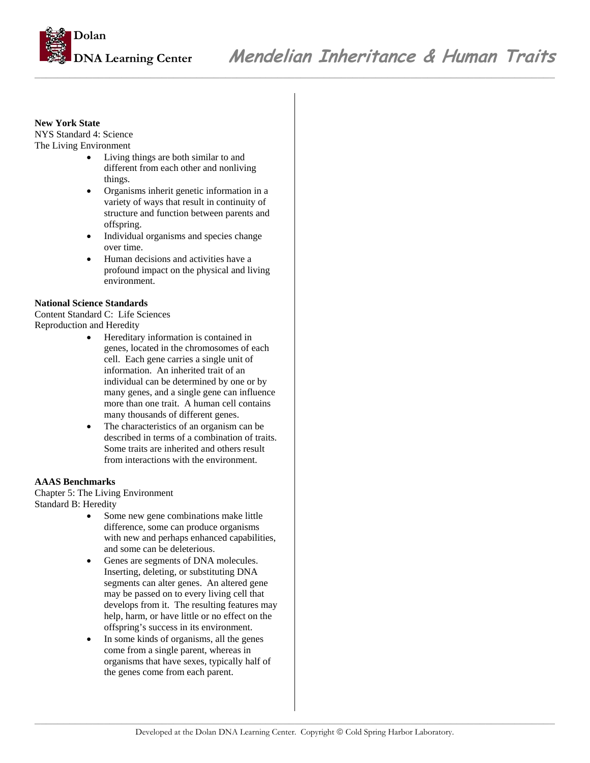

*\_\_\_\_\_\_\_\_\_\_\_\_\_\_\_\_\_\_\_\_\_\_\_\_\_\_\_\_\_\_\_\_\_\_\_\_\_\_\_\_\_\_\_\_\_\_\_\_\_\_\_\_\_\_\_\_\_\_\_\_\_\_\_\_\_\_\_\_\_\_\_\_\_\_\_\_\_\_\_\_\_\_\_\_\_\_\_\_\_\_* 

#### **New York State**

NYS Standard 4: Science The Living Environment

- Living things are both similar to and different from each other and nonliving things.
- Organisms inherit genetic information in a variety of ways that result in continuity of structure and function between parents and offspring.
- Individual organisms and species change over time.
- Human decisions and activities have a profound impact on the physical and living environment.

#### **National Science Standards**

Content Standard C: Life Sciences Reproduction and Heredity

- Hereditary information is contained in genes, located in the chromosomes of each cell. Each gene carries a single unit of information. An inherited trait of an individual can be determined by one or by many genes, and a single gene can influence more than one trait. A human cell contains many thousands of different genes.
- The characteristics of an organism can be described in terms of a combination of traits. Some traits are inherited and others result from interactions with the environment.

#### **AAAS Benchmarks**

Chapter 5: The Living Environment Standard B: Heredity

- Some new gene combinations make little difference, some can produce organisms with new and perhaps enhanced capabilities, and some can be deleterious.
- Genes are segments of DNA molecules. Inserting, deleting, or substituting DNA segments can alter genes. An altered gene may be passed on to every living cell that develops from it. The resulting features may help, harm, or have little or no effect on the offspring's success in its environment.
- In some kinds of organisms, all the genes come from a single parent, whereas in organisms that have sexes, typically half of the genes come from each parent.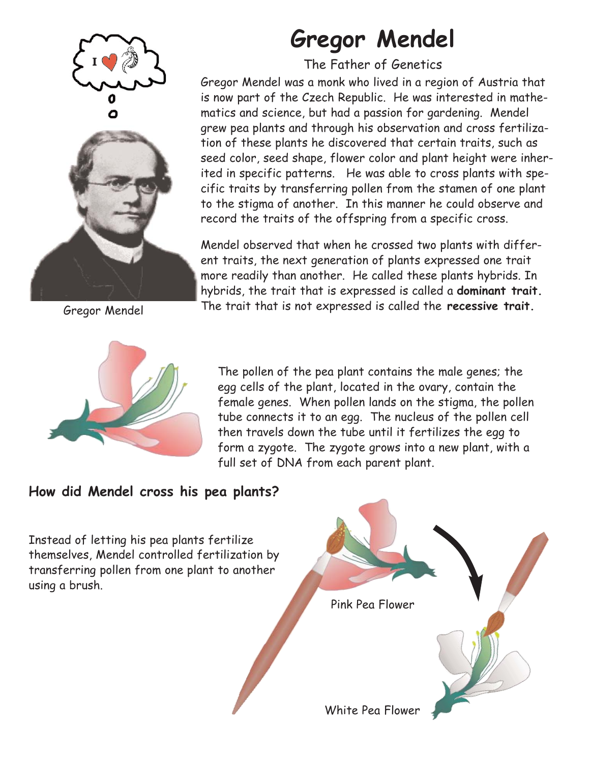

Gregor Mendel

# **Gregor Mendel**

The Father of Genetics

Gregor Mendel was a monk who lived in a region of Austria that is now part of the Czech Republic. He was interested in mathematics and science, but had a passion for gardening. Mendel grew pea plants and through his observation and cross fertilization of these plants he discovered that certain traits, such as seed color, seed shape, flower color and plant height were inherited in specific patterns. He was able to cross plants with specific traits by transferring pollen from the stamen of one plant to the stigma of another. In this manner he could observe and record the traits of the offspring from a specific cross.

Mendel observed that when he crossed two plants with different traits, the next generation of plants expressed one trait more readily than another. He called these plants hybrids. In hybrids, the trait that is expressed is called a **dominant trait.** The trait that is not expressed is called the **recessive trait.**



The pollen of the pea plant contains the male genes; the egg cells of the plant, located in the ovary, contain the female genes. When pollen lands on the stigma, the pollen tube connects it to an egg. The nucleus of the pollen cell then travels down the tube until it fertilizes the egg to form a zygote. The zygote grows into a new plant, with a full set of DNA from each parent plant.

### **How did Mendel cross his pea plants?**

Instead of letting his pea plants fertilize themselves, Mendel controlled fertilization by transferring pollen from one plant to another using a brush.

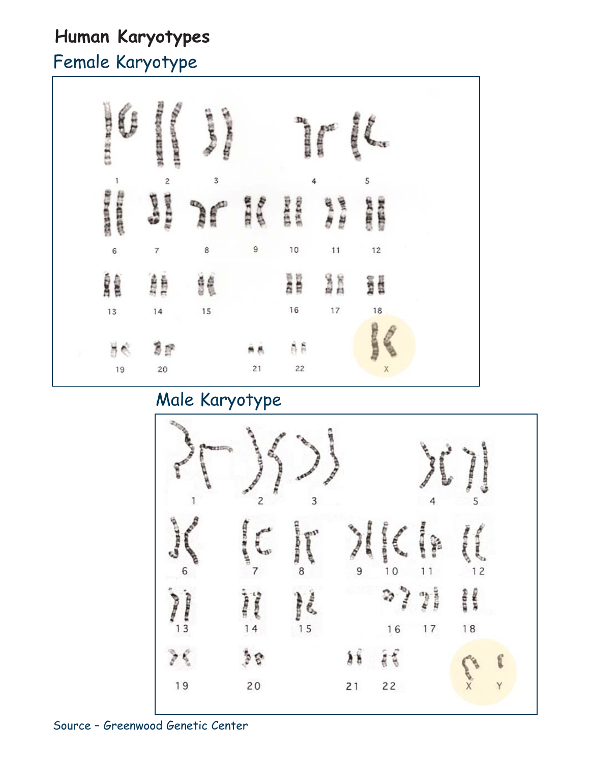### **Human Karyotypes**

# Female Karyotype



### Male Karyotype

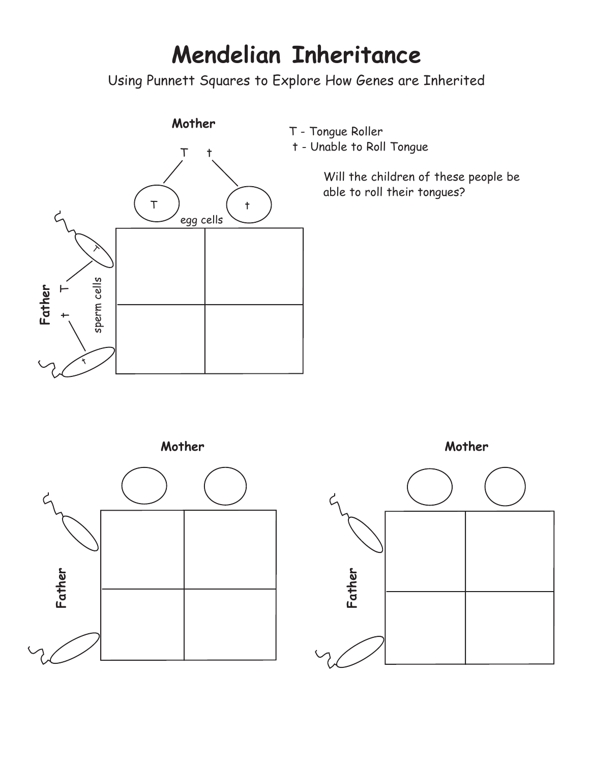# **Mendelian Inheritance**

Using Punnett Squares to Explore How Genes are Inherited



- T Tongue Roller
- t Unable to Roll Tongue

Will the children of these people be able to roll their tongues?





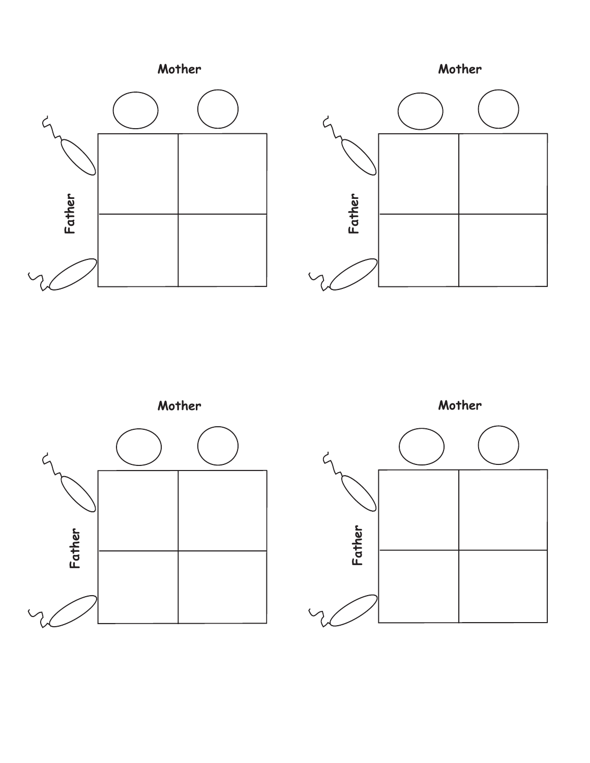



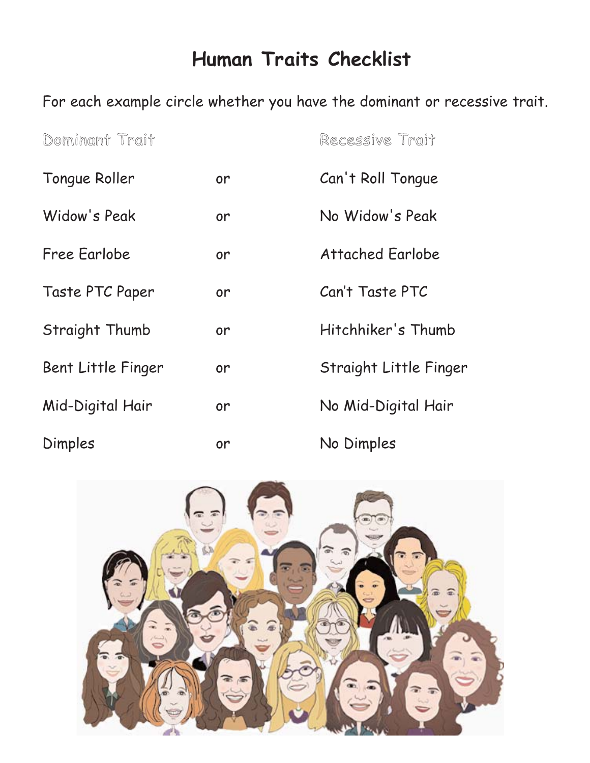## **Human Traits Checklist**

For each example circle whether you have the dominant or recessive trait.

| Dominant Trait     |    | Recessive Trait         |
|--------------------|----|-------------------------|
| Tongue Roller      | or | Can't Roll Tongue       |
| Widow's Peak       | or | No Widow's Peak         |
| Free Earlobe       | or | <b>Attached Earlobe</b> |
| Taste PTC Paper    | or | Can't Taste PTC         |
| Straight Thumb     | or | Hitchhiker's Thumb      |
| Bent Little Finger | or | Straight Little Finger  |
| Mid-Digital Hair   | or | No Mid-Digital Hair     |
| Dimples            | or | No Dimples              |